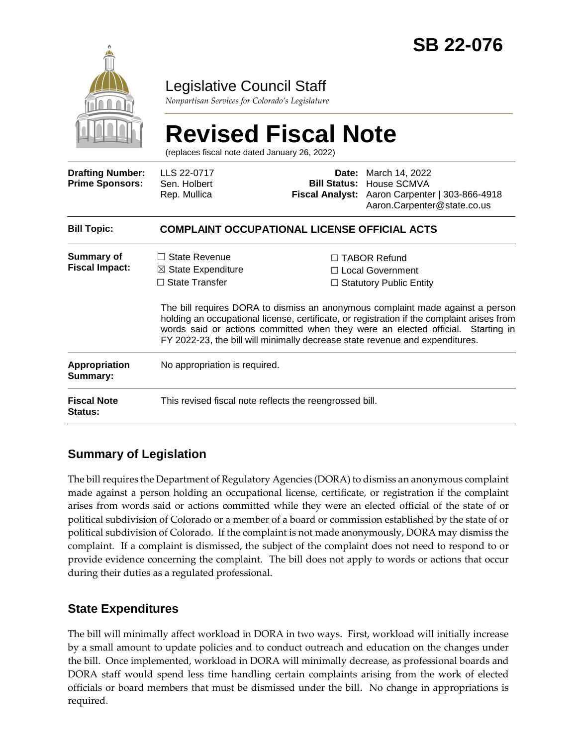

## Legislative Council Staff

*Nonpartisan Services for Colorado's Legislature*

# **Revised Fiscal Note**

(replaces fiscal note dated January 26, 2022)

| <b>Drafting Number:</b><br><b>Prime Sponsors:</b> | LLS 22-0717<br>Sen. Holbert<br>Rep. Mullica                                                                                                                                                                                                                                                                                                     |  | <b>Date:</b> March 14, 2022<br><b>Bill Status: House SCMVA</b><br>Fiscal Analyst: Aaron Carpenter   303-866-4918<br>Aaron.Carpenter@state.co.us |  |
|---------------------------------------------------|-------------------------------------------------------------------------------------------------------------------------------------------------------------------------------------------------------------------------------------------------------------------------------------------------------------------------------------------------|--|-------------------------------------------------------------------------------------------------------------------------------------------------|--|
| <b>Bill Topic:</b>                                | <b>COMPLAINT OCCUPATIONAL LICENSE OFFICIAL ACTS</b>                                                                                                                                                                                                                                                                                             |  |                                                                                                                                                 |  |
| <b>Summary of</b><br><b>Fiscal Impact:</b>        | $\Box$ State Revenue<br>$\boxtimes$ State Expenditure                                                                                                                                                                                                                                                                                           |  | $\Box$ TABOR Refund<br>□ Local Government                                                                                                       |  |
|                                                   | $\Box$ State Transfer                                                                                                                                                                                                                                                                                                                           |  | $\Box$ Statutory Public Entity                                                                                                                  |  |
|                                                   | The bill requires DORA to dismiss an anonymous complaint made against a person<br>holding an occupational license, certificate, or registration if the complaint arises from<br>words said or actions committed when they were an elected official. Starting in<br>FY 2022-23, the bill will minimally decrease state revenue and expenditures. |  |                                                                                                                                                 |  |
| <b>Appropriation</b><br>Summary:                  | No appropriation is required.                                                                                                                                                                                                                                                                                                                   |  |                                                                                                                                                 |  |
| <b>Fiscal Note</b><br><b>Status:</b>              | This revised fiscal note reflects the reengrossed bill.                                                                                                                                                                                                                                                                                         |  |                                                                                                                                                 |  |

### **Summary of Legislation**

The bill requires the Department of Regulatory Agencies (DORA) to dismiss an anonymous complaint made against a person holding an occupational license, certificate, or registration if the complaint arises from words said or actions committed while they were an elected official of the state of or political subdivision of Colorado or a member of a board or commission established by the state of or political subdivision of Colorado. If the complaint is not made anonymously, DORA may dismiss the complaint. If a complaint is dismissed, the subject of the complaint does not need to respond to or provide evidence concerning the complaint. The bill does not apply to words or actions that occur during their duties as a regulated professional.

### **State Expenditures**

The bill will minimally affect workload in DORA in two ways. First, workload will initially increase by a small amount to update policies and to conduct outreach and education on the changes under the bill. Once implemented, workload in DORA will minimally decrease, as professional boards and DORA staff would spend less time handling certain complaints arising from the work of elected officials or board members that must be dismissed under the bill. No change in appropriations is required.